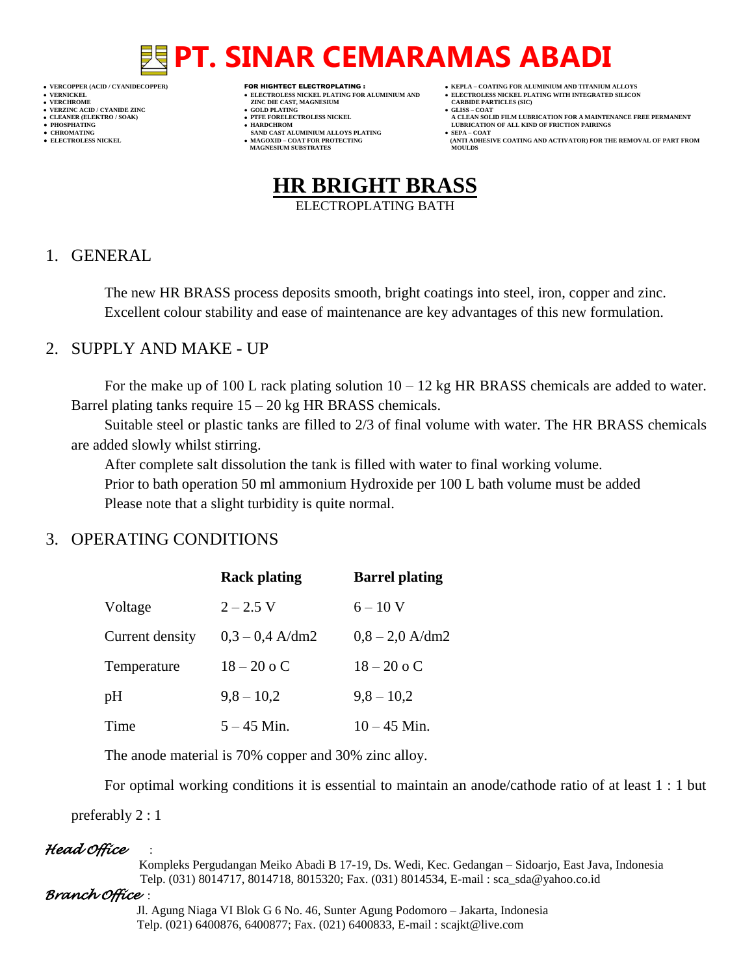# **PT. SINAR CEMARAMAS ABADI**

- 
- 
- 
- 

- **VERFORM ZINC DIE CAST, MAGNESIUM CARBIDE PARTICLES (SIC)**<br> **CARBIDE PARTING**
- **VERZINC ACID / CYANIDE ZINC GOLD PLATING GLISS – COAT**
	-
- **● CHROMATING SAND CAST ALUMINIUM ALLOYS PLATING SEPA – COAT • MAGOXID – COAT FOR PROTECTING<br>MAGNESIUM SUBSTRATES**
- **VERCOPPER (ACID / CYANIDECOPPER)** FOR HIGHTECT ELECTROPLATING :  **KEPLA – COATING FOR ALUMINIUM AND TITANIUM ALLOYS**
- **VERNICKEL ELECTROLESS NICKEL PLATING FOR ALUMINIUM AND ELECTROLESS NICKEL PLATING WITH INTEGRATED SILICON**
	-
- CLEANER (ELEKTRO / SOAK)<br>● CLEANER (ELEKTRO / SOAK)<br>● PHOSPHATING<br>● HOSPHATING **● PHOSPHATING HARDCHROM LUBRICATION OF ALL KIND OF FRICTION PAIRINGS** 
	- **ELECTROLESS AND ACTIVATOR) FOR THE REMOVAL OF PART FROM (ANTI ADHESIVE COATING AND ACTIVATOR) FOR THE REMOVAL OF PART FROM <b>MOULDS**



### 1. GENERAL

The new HR BRASS process deposits smooth, bright coatings into steel, iron, copper and zinc. Excellent colour stability and ease of maintenance are key advantages of this new formulation.

### 2. SUPPLY AND MAKE - UP

For the make up of 100 L rack plating solution  $10 - 12$  kg HR BRASS chemicals are added to water. Barrel plating tanks require  $15 - 20$  kg HR BRASS chemicals.

Suitable steel or plastic tanks are filled to 2/3 of final volume with water. The HR BRASS chemicals are added slowly whilst stirring.

After complete salt dissolution the tank is filled with water to final working volume. Prior to bath operation 50 ml ammonium Hydroxide per 100 L bath volume must be added Please note that a slight turbidity is quite normal.

### 3. OPERATING CONDITIONS

|                 | <b>Rack plating</b> | <b>Barrel plating</b> |
|-----------------|---------------------|-----------------------|
| Voltage         | $2 - 2.5$ V         | $6 - 10$ V            |
| Current density | $0.3 - 0.4$ A/dm2   | $0.8 - 2.0$ A/dm2     |
| Temperature     | $18 - 20$ o C       | $18 - 20$ o C         |
| pH              | $9,8 - 10,2$        | $9,8 - 10,2$          |
| Time            | $5 - 45$ Min.       | $10 - 45$ Min.        |

The anode material is 70% copper and 30% zinc alloy.

For optimal working conditions it is essential to maintain an anode/cathode ratio of at least 1 : 1 but

preferably 2 : 1

### *Head Office* :

 Kompleks Pergudangan Meiko Abadi B 17-19, Ds. Wedi, Kec. Gedangan – Sidoarjo, East Java, Indonesia Telp. (031) 8014717, 8014718, 8015320; Fax. (031) 8014534, E-mail : sca\_sda@yahoo.co.id

#### *Branch Office* :

 Jl. Agung Niaga VI Blok G 6 No. 46, Sunter Agung Podomoro – Jakarta, Indonesia Telp. (021) 6400876, 6400877; Fax. (021) 6400833, E-mail : scajkt@live.com